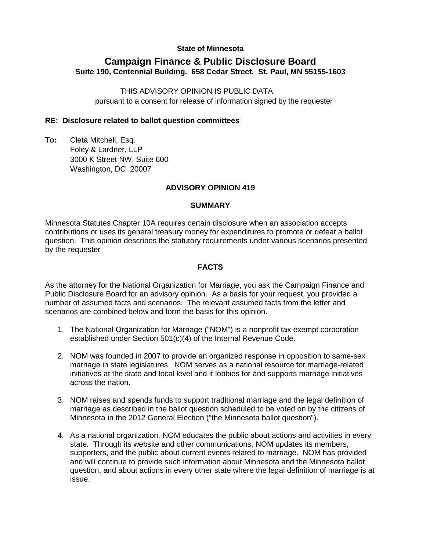### **State of Minnesota**

# **Campaign Finance & Public Disclosure Board Suite 190, Centennial Building. 658 Cedar Street. St. Paul, MN 55155-1603**

THIS ADVISORY OPINION IS PUBLIC DATA pursuant to a consent for release of information signed by the requester

### **RE: Disclosure related to ballot question committees**

**To:** Cleta Mitchell, Esq. Foley & Lardner, LLP 3000 K Street NW, Suite 600 Washington, DC 20007

## **ADVISORY OPINION 419**

#### **SUMMARY**

Minnesota Statutes Chapter 10A requires certain disclosure when an association accepts contributions or uses its general treasury money for expenditures to promote or defeat a ballot question. This opinion describes the statutory requirements under various scenarios presented by the requester

### **FACTS**

As the attorney for the National Organization for Marriage, you ask the Campaign Finance and Public Disclosure Board for an advisory opinion. As a basis for your request, you provided a number of assumed facts and scenarios. The relevant assumed facts from the letter and scenarios are combined below and form the basis for this opinion.

- 1. The National Organization for Marriage ("NOM") is a nonprofit tax exempt corporation established under Section 501(c)(4) of the Internal Revenue Code.
- 2. NOM was founded in 2007 to provide an organized response in opposition to same-sex marriage in state legislatures. NOM serves as a national resource for marriage-related initiatives at the state and local level and it lobbies for and supports marriage initiatives across the nation.
- 3. NOM raises and spends funds to support traditional marriage and the legal definition of marriage as described in the ballot question scheduled to be voted on by the citizens of Minnesota in the 2012 General Election ("the Minnesota ballot question").
- 4. As a national organization, NOM educates the public about actions and activities in every state. Through its website and other communications, NOM updates its members, supporters, and the public about current events related to marriage. NOM has provided and will continue to provide such information about Minnesota and the Minnesota ballot question, and about actions in every other state where the legal definition of marriage is at issue.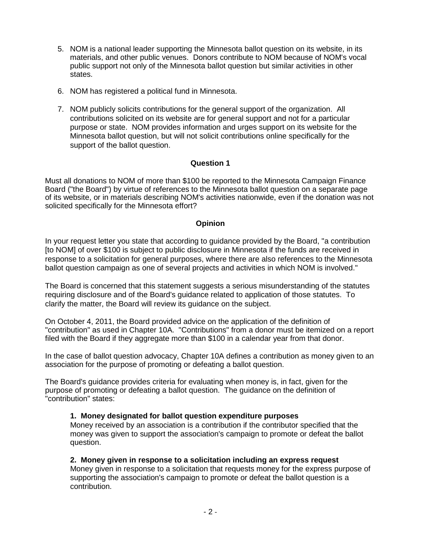- 5. NOM is a national leader supporting the Minnesota ballot question on its website, in its materials, and other public venues. Donors contribute to NOM because of NOM's vocal public support not only of the Minnesota ballot question but similar activities in other states.
- 6. NOM has registered a political fund in Minnesota.
- 7. NOM publicly solicits contributions for the general support of the organization. All contributions solicited on its website are for general support and not for a particular purpose or state. NOM provides information and urges support on its website for the Minnesota ballot question, but will not solicit contributions online specifically for the support of the ballot question.

## **Question 1**

Must all donations to NOM of more than \$100 be reported to the Minnesota Campaign Finance Board ("the Board") by virtue of references to the Minnesota ballot question on a separate page of its website, or in materials describing NOM's activities nationwide, even if the donation was not solicited specifically for the Minnesota effort?

### **Opinion**

In your request letter you state that according to guidance provided by the Board, "a contribution [to NOM] of over \$100 is subject to public disclosure in Minnesota if the funds are received in response to a solicitation for general purposes, where there are also references to the Minnesota ballot question campaign as one of several projects and activities in which NOM is involved."

The Board is concerned that this statement suggests a serious misunderstanding of the statutes requiring disclosure and of the Board's guidance related to application of those statutes. To clarify the matter, the Board will review its guidance on the subject.

On October 4, 2011, the Board provided advice on the application of the definition of "contribution" as used in Chapter 10A. "Contributions" from a donor must be itemized on a report filed with the Board if they aggregate more than \$100 in a calendar year from that donor.

In the case of ballot question advocacy, Chapter 10A defines a contribution as money given to an association for the purpose of promoting or defeating a ballot question.

The Board's guidance provides criteria for evaluating when money is, in fact, given for the purpose of promoting or defeating a ballot question. The guidance on the definition of "contribution" states:

#### **1. Money designated for ballot question expenditure purposes**

Money received by an association is a contribution if the contributor specified that the money was given to support the association's campaign to promote or defeat the ballot question.

#### **2. Money given in response to a solicitation including an express request**

Money given in response to a solicitation that requests money for the express purpose of supporting the association's campaign to promote or defeat the ballot question is a contribution.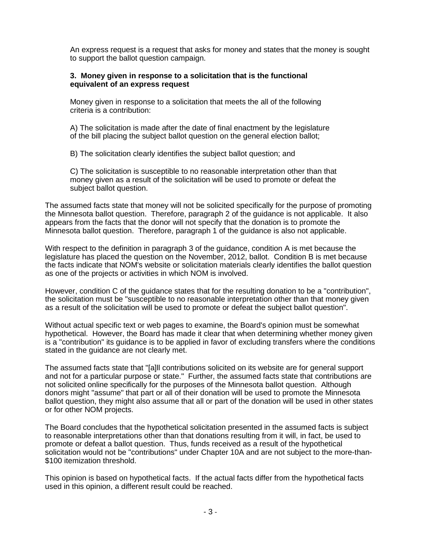An express request is a request that asks for money and states that the money is sought to support the ballot question campaign.

#### **3. Money given in response to a solicitation that is the functional equivalent of an express request**

Money given in response to a solicitation that meets the all of the following criteria is a contribution:

A) The solicitation is made after the date of final enactment by the legislature of the bill placing the subject ballot question on the general election ballot;

B) The solicitation clearly identifies the subject ballot question; and

C) The solicitation is susceptible to no reasonable interpretation other than that money given as a result of the solicitation will be used to promote or defeat the subject ballot question.

The assumed facts state that money will not be solicited specifically for the purpose of promoting the Minnesota ballot question. Therefore, paragraph 2 of the guidance is not applicable. It also appears from the facts that the donor will not specify that the donation is to promote the Minnesota ballot question. Therefore, paragraph 1 of the guidance is also not applicable.

With respect to the definition in paragraph 3 of the guidance, condition A is met because the legislature has placed the question on the November, 2012, ballot. Condition B is met because the facts indicate that NOM's website or solicitation materials clearly identifies the ballot question as one of the projects or activities in which NOM is involved.

However, condition C of the guidance states that for the resulting donation to be a "contribution", the solicitation must be "susceptible to no reasonable interpretation other than that money given as a result of the solicitation will be used to promote or defeat the subject ballot question".

Without actual specific text or web pages to examine, the Board's opinion must be somewhat hypothetical. However, the Board has made it clear that when determining whether money given is a "contribution" its guidance is to be applied in favor of excluding transfers where the conditions stated in the quidance are not clearly met.

The assumed facts state that "[a]ll contributions solicited on its website are for general support and not for a particular purpose or state." Further, the assumed facts state that contributions are not solicited online specifically for the purposes of the Minnesota ballot question. Although donors might "assume" that part or all of their donation will be used to promote the Minnesota ballot question, they might also assume that all or part of the donation will be used in other states or for other NOM projects.

The Board concludes that the hypothetical solicitation presented in the assumed facts is subject to reasonable interpretations other than that donations resulting from it will, in fact, be used to promote or defeat a ballot question. Thus, funds received as a result of the hypothetical solicitation would not be "contributions" under Chapter 10A and are not subject to the more-than- \$100 itemization threshold.

This opinion is based on hypothetical facts. If the actual facts differ from the hypothetical facts used in this opinion, a different result could be reached.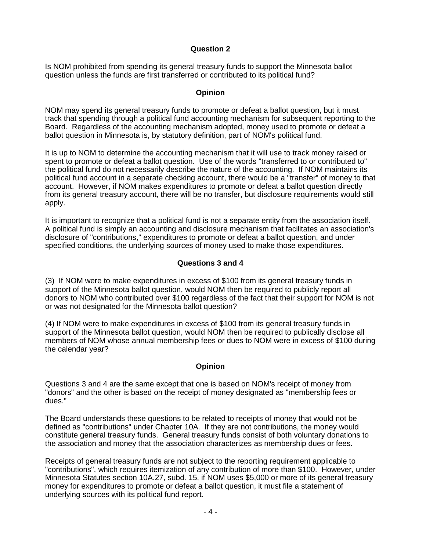### **Question 2**

Is NOM prohibited from spending its general treasury funds to support the Minnesota ballot question unless the funds are first transferred or contributed to its political fund?

#### **Opinion**

NOM may spend its general treasury funds to promote or defeat a ballot question, but it must track that spending through a political fund accounting mechanism for subsequent reporting to the Board. Regardless of the accounting mechanism adopted, money used to promote or defeat a ballot question in Minnesota is, by statutory definition, part of NOM's political fund.

It is up to NOM to determine the accounting mechanism that it will use to track money raised or spent to promote or defeat a ballot question. Use of the words "transferred to or contributed to" the political fund do not necessarily describe the nature of the accounting. If NOM maintains its political fund account in a separate checking account, there would be a "transfer" of money to that account. However, if NOM makes expenditures to promote or defeat a ballot question directly from its general treasury account, there will be no transfer, but disclosure requirements would still apply.

It is important to recognize that a political fund is not a separate entity from the association itself. A political fund is simply an accounting and disclosure mechanism that facilitates an association's disclosure of "contributions," expenditures to promote or defeat a ballot question, and under specified conditions, the underlying sources of money used to make those expenditures.

### **Questions 3 and 4**

(3) If NOM were to make expenditures in excess of \$100 from its general treasury funds in support of the Minnesota ballot question, would NOM then be required to publicly report all donors to NOM who contributed over \$100 regardless of the fact that their support for NOM is not or was not designated for the Minnesota ballot question?

(4) If NOM were to make expenditures in excess of \$100 from its general treasury funds in support of the Minnesota ballot question, would NOM then be required to publically disclose all members of NOM whose annual membership fees or dues to NOM were in excess of \$100 during the calendar year?

#### **Opinion**

Questions 3 and 4 are the same except that one is based on NOM's receipt of money from "donors" and the other is based on the receipt of money designated as "membership fees or dues."

The Board understands these questions to be related to receipts of money that would not be defined as "contributions" under Chapter 10A. If they are not contributions, the money would constitute general treasury funds. General treasury funds consist of both voluntary donations to the association and money that the association characterizes as membership dues or fees.

Receipts of general treasury funds are not subject to the reporting requirement applicable to "contributions", which requires itemization of any contribution of more than \$100. However, under Minnesota Statutes section 10A.27, subd. 15, if NOM uses \$5,000 or more of its general treasury money for expenditures to promote or defeat a ballot question, it must file a statement of underlying sources with its political fund report.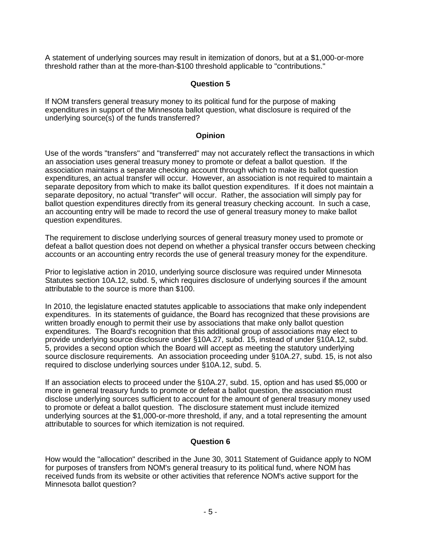A statement of underlying sources may result in itemization of donors, but at a \$1,000-or-more threshold rather than at the more-than-\$100 threshold applicable to "contributions."

### **Question 5**

If NOM transfers general treasury money to its political fund for the purpose of making expenditures in support of the Minnesota ballot question, what disclosure is required of the underlying source(s) of the funds transferred?

#### **Opinion**

Use of the words "transfers" and "transferred" may not accurately reflect the transactions in which an association uses general treasury money to promote or defeat a ballot question. If the association maintains a separate checking account through which to make its ballot question expenditures, an actual transfer will occur. However, an association is not required to maintain a separate depository from which to make its ballot question expenditures. If it does not maintain a separate depository, no actual "transfer" will occur. Rather, the association will simply pay for ballot question expenditures directly from its general treasury checking account. In such a case, an accounting entry will be made to record the use of general treasury money to make ballot question expenditures.

The requirement to disclose underlying sources of general treasury money used to promote or defeat a ballot question does not depend on whether a physical transfer occurs between checking accounts or an accounting entry records the use of general treasury money for the expenditure.

Prior to legislative action in 2010, underlying source disclosure was required under Minnesota Statutes section 10A.12, subd. 5, which requires disclosure of underlying sources if the amount attributable to the source is more than \$100.

In 2010, the legislature enacted statutes applicable to associations that make only independent expenditures. In its statements of guidance, the Board has recognized that these provisions are written broadly enough to permit their use by associations that make only ballot question expenditures. The Board's recognition that this additional group of associations may elect to provide underlying source disclosure under §10A.27, subd. 15, instead of under §10A.12, subd. 5, provides a second option which the Board will accept as meeting the statutory underlying source disclosure requirements. An association proceeding under §10A.27, subd. 15, is not also required to disclose underlying sources under §10A.12, subd. 5.

If an association elects to proceed under the §10A.27, subd. 15, option and has used \$5,000 or more in general treasury funds to promote or defeat a ballot question, the association must disclose underlying sources sufficient to account for the amount of general treasury money used to promote or defeat a ballot question. The disclosure statement must include itemized underlying sources at the \$1,000-or-more threshold, if any, and a total representing the amount attributable to sources for which itemization is not required.

#### **Question 6**

How would the "allocation" described in the June 30, 3011 Statement of Guidance apply to NOM for purposes of transfers from NOM's general treasury to its political fund, where NOM has received funds from its website or other activities that reference NOM's active support for the Minnesota ballot question?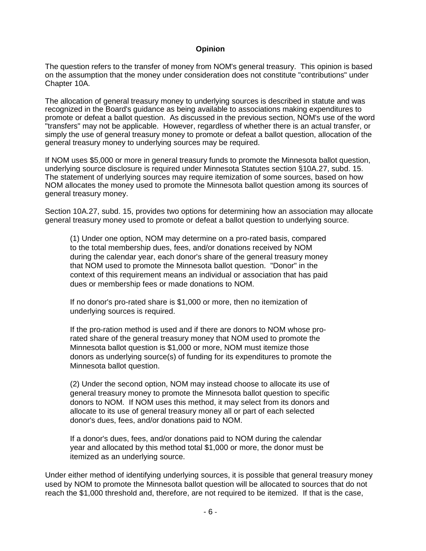### **Opinion**

The question refers to the transfer of money from NOM's general treasury. This opinion is based on the assumption that the money under consideration does not constitute "contributions" under Chapter 10A.

The allocation of general treasury money to underlying sources is described in statute and was recognized in the Board's guidance as being available to associations making expenditures to promote or defeat a ballot question. As discussed in the previous section, NOM's use of the word "transfers" may not be applicable. However, regardless of whether there is an actual transfer, or simply the use of general treasury money to promote or defeat a ballot question, allocation of the general treasury money to underlying sources may be required.

If NOM uses \$5,000 or more in general treasury funds to promote the Minnesota ballot question, underlying source disclosure is required under Minnesota Statutes section §10A.27, subd. 15. The statement of underlying sources may require itemization of some sources, based on how NOM allocates the money used to promote the Minnesota ballot question among its sources of general treasury money.

Section 10A.27, subd. 15, provides two options for determining how an association may allocate general treasury money used to promote or defeat a ballot question to underlying source.

(1) Under one option, NOM may determine on a pro-rated basis, compared to the total membership dues, fees, and/or donations received by NOM during the calendar year, each donor's share of the general treasury money that NOM used to promote the Minnesota ballot question. "Donor" in the context of this requirement means an individual or association that has paid dues or membership fees or made donations to NOM.

If no donor's pro-rated share is \$1,000 or more, then no itemization of underlying sources is required.

If the pro-ration method is used and if there are donors to NOM whose prorated share of the general treasury money that NOM used to promote the Minnesota ballot question is \$1,000 or more, NOM must itemize those donors as underlying source(s) of funding for its expenditures to promote the Minnesota ballot question.

(2) Under the second option, NOM may instead choose to allocate its use of general treasury money to promote the Minnesota ballot question to specific donors to NOM. If NOM uses this method, it may select from its donors and allocate to its use of general treasury money all or part of each selected donor's dues, fees, and/or donations paid to NOM.

If a donor's dues, fees, and/or donations paid to NOM during the calendar year and allocated by this method total \$1,000 or more, the donor must be itemized as an underlying source.

Under either method of identifying underlying sources, it is possible that general treasury money used by NOM to promote the Minnesota ballot question will be allocated to sources that do not reach the \$1,000 threshold and, therefore, are not required to be itemized. If that is the case,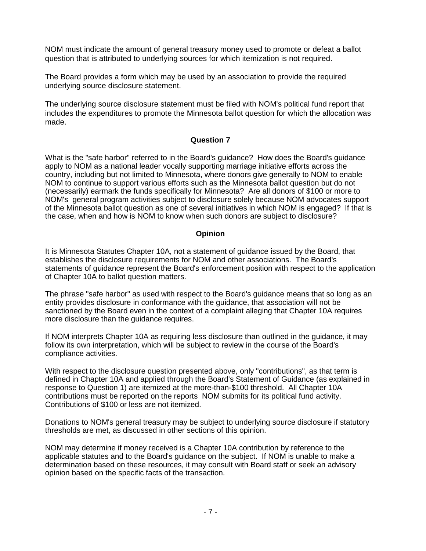NOM must indicate the amount of general treasury money used to promote or defeat a ballot question that is attributed to underlying sources for which itemization is not required.

The Board provides a form which may be used by an association to provide the required underlying source disclosure statement.

The underlying source disclosure statement must be filed with NOM's political fund report that includes the expenditures to promote the Minnesota ballot question for which the allocation was made.

## **Question 7**

What is the "safe harbor" referred to in the Board's guidance? How does the Board's guidance apply to NOM as a national leader vocally supporting marriage initiative efforts across the country, including but not limited to Minnesota, where donors give generally to NOM to enable NOM to continue to support various efforts such as the Minnesota ballot question but do not (necessarily) earmark the funds specifically for Minnesota? Are all donors of \$100 or more to NOM's general program activities subject to disclosure solely because NOM advocates support of the Minnesota ballot question as one of several initiatives in which NOM is engaged? If that is the case, when and how is NOM to know when such donors are subject to disclosure?

## **Opinion**

It is Minnesota Statutes Chapter 10A, not a statement of guidance issued by the Board, that establishes the disclosure requirements for NOM and other associations. The Board's statements of guidance represent the Board's enforcement position with respect to the application of Chapter 10A to ballot question matters.

The phrase "safe harbor" as used with respect to the Board's guidance means that so long as an entity provides disclosure in conformance with the guidance, that association will not be sanctioned by the Board even in the context of a complaint alleging that Chapter 10A requires more disclosure than the guidance requires.

If NOM interprets Chapter 10A as requiring less disclosure than outlined in the guidance, it may follow its own interpretation, which will be subject to review in the course of the Board's compliance activities.

With respect to the disclosure question presented above, only "contributions", as that term is defined in Chapter 10A and applied through the Board's Statement of Guidance (as explained in response to Question 1) are itemized at the more-than-\$100 threshold. All Chapter 10A contributions must be reported on the reports NOM submits for its political fund activity. Contributions of \$100 or less are not itemized.

Donations to NOM's general treasury may be subject to underlying source disclosure if statutory thresholds are met, as discussed in other sections of this opinion.

NOM may determine if money received is a Chapter 10A contribution by reference to the applicable statutes and to the Board's guidance on the subject. If NOM is unable to make a determination based on these resources, it may consult with Board staff or seek an advisory opinion based on the specific facts of the transaction.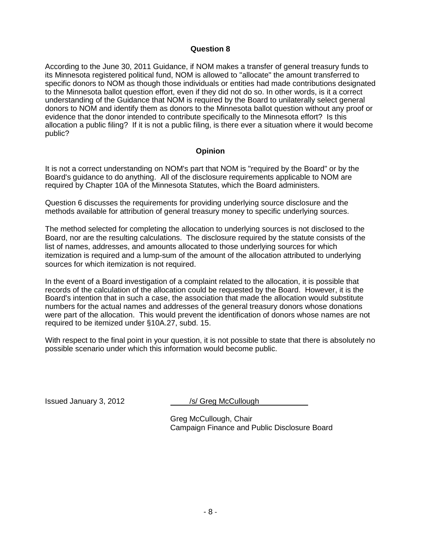#### **Question 8**

According to the June 30, 2011 Guidance, if NOM makes a transfer of general treasury funds to its Minnesota registered political fund, NOM is allowed to "allocate" the amount transferred to specific donors to NOM as though those individuals or entities had made contributions designated to the Minnesota ballot question effort, even if they did not do so. In other words, is it a correct understanding of the Guidance that NOM is required by the Board to unilaterally select general donors to NOM and identify them as donors to the Minnesota ballot question without any proof or evidence that the donor intended to contribute specifically to the Minnesota effort? Is this allocation a public filing? If it is not a public filing, is there ever a situation where it would become public?

### **Opinion**

It is not a correct understanding on NOM's part that NOM is "required by the Board" or by the Board's guidance to do anything. All of the disclosure requirements applicable to NOM are required by Chapter 10A of the Minnesota Statutes, which the Board administers.

Question 6 discusses the requirements for providing underlying source disclosure and the methods available for attribution of general treasury money to specific underlying sources.

The method selected for completing the allocation to underlying sources is not disclosed to the Board, nor are the resulting calculations. The disclosure required by the statute consists of the list of names, addresses, and amounts allocated to those underlying sources for which itemization is required and a lump-sum of the amount of the allocation attributed to underlying sources for which itemization is not required.

In the event of a Board investigation of a complaint related to the allocation, it is possible that records of the calculation of the allocation could be requested by the Board. However, it is the Board's intention that in such a case, the association that made the allocation would substitute numbers for the actual names and addresses of the general treasury donors whose donations were part of the allocation. This would prevent the identification of donors whose names are not required to be itemized under §10A.27, subd. 15.

With respect to the final point in your question, it is not possible to state that there is absolutely no possible scenario under which this information would become public.

Issued January 3, 2012 /s/ Greg McCullough

Greg McCullough, Chair Campaign Finance and Public Disclosure Board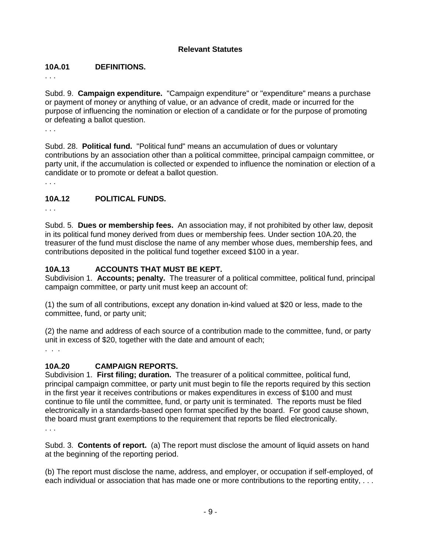# **Relevant Statutes**

## **10A.01 DEFINITIONS.**

. . .

Subd. 9. **Campaign expenditure.** "Campaign expenditure" or "expenditure" means a purchase or payment of money or anything of value, or an advance of credit, made or incurred for the purpose of influencing the nomination or election of a candidate or for the purpose of promoting or defeating a ballot question.

. . .

Subd. 28. **Political fund.** "Political fund" means an accumulation of dues or voluntary contributions by an association other than a political committee, principal campaign committee, or party unit, if the accumulation is collected or expended to influence the nomination or election of a candidate or to promote or defeat a ballot question.

. . .

# **10A.12 POLITICAL FUNDS.**

. . .

Subd. 5. **Dues or membership fees.** An association may, if not prohibited by other law, deposit in its political fund money derived from dues or membership fees. Under section 10A.20, the treasurer of the fund must disclose the name of any member whose dues, membership fees, and contributions deposited in the political fund together exceed \$100 in a year.

# **10A.13 ACCOUNTS THAT MUST BE KEPT.**

Subdivision 1. **Accounts; penalty.** The treasurer of a political committee, political fund, principal campaign committee, or party unit must keep an account of:

(1) the sum of all contributions, except any donation in-kind valued at \$20 or less, made to the committee, fund, or party unit;

(2) the name and address of each source of a contribution made to the committee, fund, or party unit in excess of \$20, together with the date and amount of each; . . .

# **10A.20 CAMPAIGN REPORTS.**

Subdivision 1. **First filing; duration.** The treasurer of a political committee, political fund, principal campaign committee, or party unit must begin to file the reports required by this section in the first year it receives contributions or makes expenditures in excess of \$100 and must continue to file until the committee, fund, or party unit is terminated. The reports must be filed electronically in a standards-based open format specified by the board. For good cause shown, the board must grant exemptions to the requirement that reports be filed electronically. . . .

Subd. 3. **Contents of report.** (a) The report must disclose the amount of liquid assets on hand at the beginning of the reporting period.

(b) The report must disclose the name, address, and employer, or occupation if self-employed, of each individual or association that has made one or more contributions to the reporting entity, ...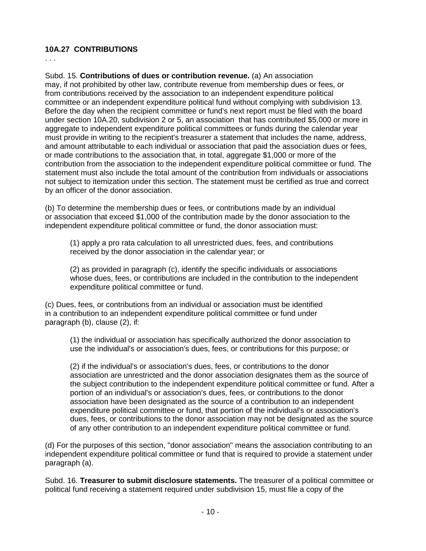# **10A.27 CONTRIBUTIONS**

. . .

Subd. 15. **Contributions of dues or contribution revenue.** (a) An association may, if not prohibited by other law, contribute revenue from membership dues or fees, or from contributions received by the association to an independent expenditure political committee or an independent expenditure political fund without complying with subdivision 13. Before the day when the recipient committee or fund's next report must be filed with the board under section 10A.20, subdivision 2 or 5, an association that has contributed \$5,000 or more in aggregate to independent expenditure political committees or funds during the calendar year must provide in writing to the recipient's treasurer a statement that includes the name, address, and amount attributable to each individual or association that paid the association dues or fees, or made contributions to the association that, in total, aggregate \$1,000 or more of the contribution from the association to the independent expenditure political committee or fund. The statement must also include the total amount of the contribution from individuals or associations not subject to itemization under this section. The statement must be certified as true and correct by an officer of the donor association.

(b) To determine the membership dues or fees, or contributions made by an individual or association that exceed \$1,000 of the contribution made by the donor association to the independent expenditure political committee or fund, the donor association must:

(1) apply a pro rata calculation to all unrestricted dues, fees, and contributions received by the donor association in the calendar year; or

(2) as provided in paragraph (c), identify the specific individuals or associations whose dues, fees, or contributions are included in the contribution to the independent expenditure political committee or fund.

(c) Dues, fees, or contributions from an individual or association must be identified in a contribution to an independent expenditure political committee or fund under paragraph (b), clause (2), if:

(1) the individual or association has specifically authorized the donor association to use the individual's or association's dues, fees, or contributions for this purpose; or

(2) if the individual's or association's dues, fees, or contributions to the donor association are unrestricted and the donor association designates them as the source of the subject contribution to the independent expenditure political committee or fund. After a portion of an individual's or association's dues, fees, or contributions to the donor association have been designated as the source of a contribution to an independent expenditure political committee or fund, that portion of the individual's or association's dues, fees, or contributions to the donor association may not be designated as the source of any other contribution to an independent expenditure political committee or fund.

(d) For the purposes of this section, "donor association" means the association contributing to an independent expenditure political committee or fund that is required to provide a statement under paragraph (a).

Subd. 16. **Treasurer to submit disclosure statements.** The treasurer of a political committee or political fund receiving a statement required under subdivision 15, must file a copy of the